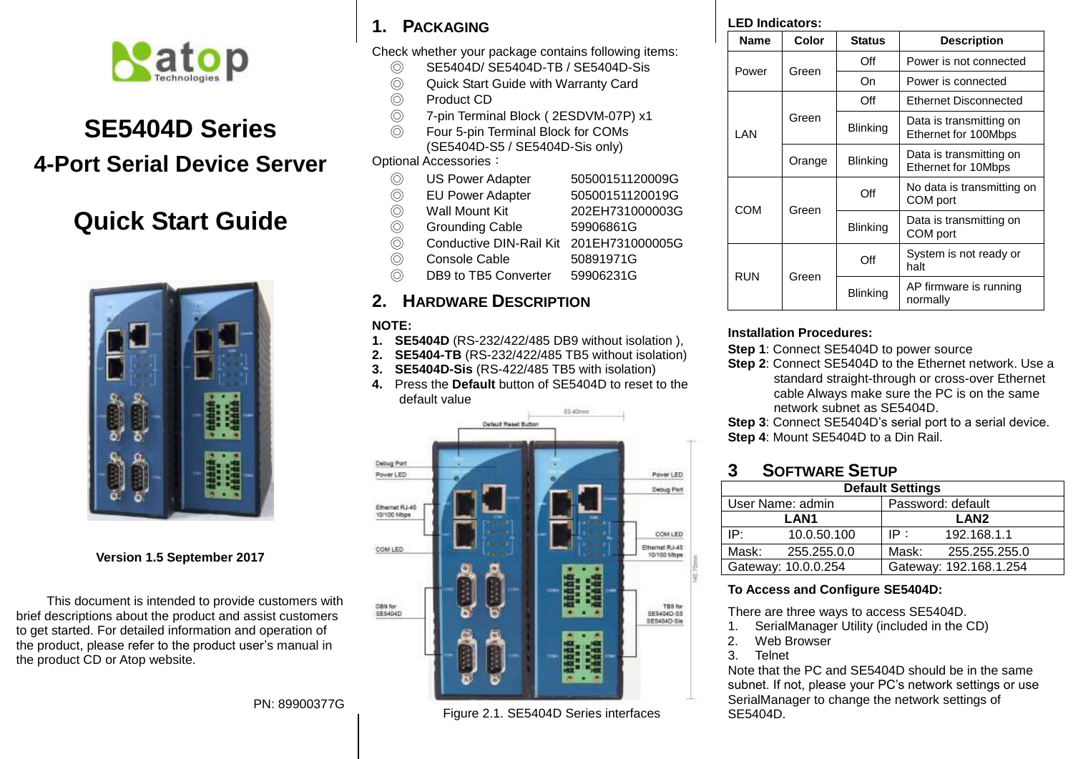

# **SE5404D Series 4-Port Serial Device Server**

# **Quick Start Guide**



## **Version 1.5 September 2017**

This document is intended to provide customers with brief descriptions about the product and assist customers to get started. For detailed information and operation of the product, please refer to the product user's manual in the product CD or Atop website.

#### PN: 89900377G

# **1. PACKAGING**

Check whether your package contains following items:

- © SE5404D/ SE5404D-TB / SE5404D-Sis<br>© Quick Start Guide with Warranty Card
- © Quick Start Guide with Warranty Card<br>© Product CD
- Product CD
- ◎ 7-pin Terminal Block ( 2ESDVM-07P) x1
- ◎ Four 5-pin Terminal Block for COMs (SE5404D-S5 / SE5404D-Sis only)

Optional Accessories:

- ◎ US Power Adapter 50500151120009G
- ◎ EU Power Adapter 50500151120019G
- ◎ Wall Mount Kit 202EH731000003G
- ◎ Grounding Cable 59906861G<br>◎ Conductive DIN-Rail Kit 201EH7310
- ◎ Conductive DIN-Rail Kit 201EH731000005G
- ◎ Console Cable 50891971G
- ◎ DB9 to TB5 Converter 59906231G

# **2. HARDWARE DESCRIPTION**

### **NOTE:**

- **1. SE5404D** (RS-232/422/485 DB9 without isolation ),
- **2. SE5404-TB** (RS-232/422/485 TB5 without isolation)
- **3. SE5404D-Sis** (RS-422/485 TB5 with isolation)
- **4.** Press the **Default** button of SE5404D to reset to the default value



## Figure 2.1. SE5404D Series interfaces

| <b>LED Indicators:</b> |
|------------------------|
|                        |

| Name       | Color  | <b>Status</b>   | <b>Description</b>                              |  |
|------------|--------|-----------------|-------------------------------------------------|--|
| Power      | Green  | Off             | Power is not connected                          |  |
|            |        | On              | Power is connected                              |  |
| LAN        | Green  | Off             | Ethernet Disconnected                           |  |
|            |        | <b>Blinking</b> | Data is transmitting on<br>Ethernet for 100Mbps |  |
|            | Orange | <b>Blinking</b> | Data is transmitting on<br>Ethernet for 10Mbps  |  |
| COM        | Green  | Off             | No data is transmitting on<br>COM port          |  |
|            |        | <b>Blinking</b> | Data is transmitting on<br>COM port             |  |
| <b>RUN</b> | Green  | Off             | System is not ready or<br>halt                  |  |
|            |        | <b>Blinking</b> | AP firmware is running<br>normally              |  |

#### **Installation Procedures:**

**Step 1**: Connect SE5404D to power source

**Step 2**: Connect SE5404D to the Ethernet network. Use a standard straight-through or cross-over Ethernet cable Always make sure the PC is on the same network subnet as SE5404D.

**Step 3**: Connect SE5404D's serial port to a serial device. **Step 4**: Mount SE5404D to a Din Rail.

# **3 SOFTWARE SETUP**

| <b>Default Settings</b> |             |                        |  |
|-------------------------|-------------|------------------------|--|
| User Name: admin        |             | Password: default      |  |
| <b>LAN1</b>             |             | LAN <sub>2</sub>       |  |
| IP۰                     | 10.0.50.100 | 192.168.1.1<br>IP :    |  |
| Mask:                   | 255.255.0.0 | Mask:<br>255.255.255.0 |  |
| Gateway: 10.0.0.254     |             | Gateway: 192.168.1.254 |  |

## **To Access and Configure SE5404D:**

There are three ways to access SE5404D.

- 1. SerialManager Utility (included in the CD)
- 2. Web Browser
- 3. Telnet

Note that the PC and SE5404D should be in the same subnet. If not, please your PC's network settings or use SerialManager to change the network settings of SE5404D.